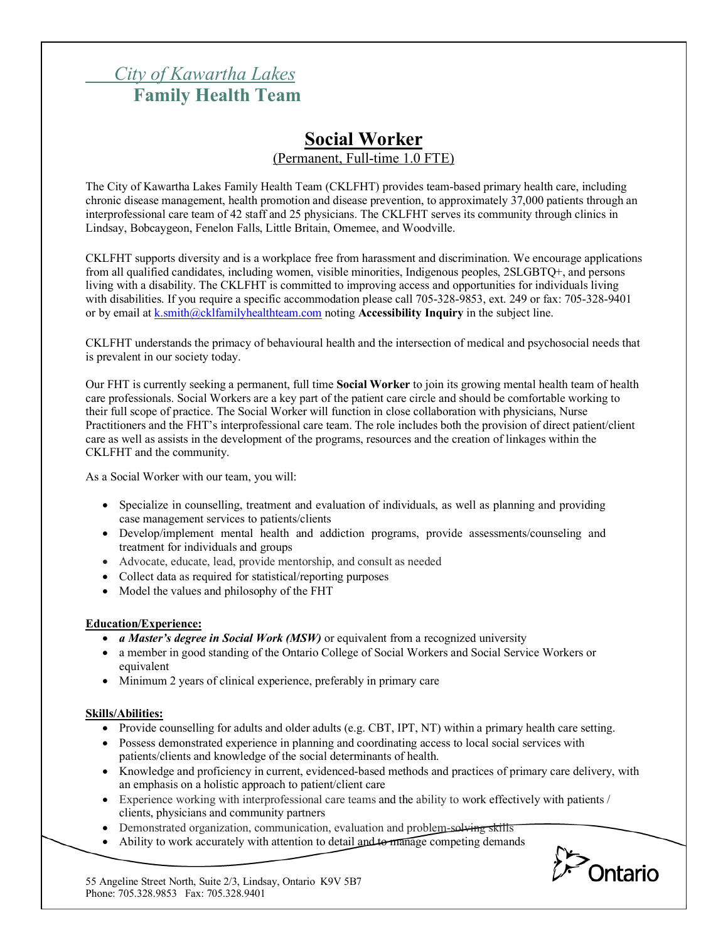# *City of Kawartha Lakes* **Family Health Team**

## **Social Worker** (Permanent, Full-time 1.0 FTE)

The City of Kawartha Lakes Family Health Team (CKLFHT) provides team-based primary health care, including chronic disease management, health promotion and disease prevention, to approximately 37,000 patients through an interprofessional care team of 42 staff and 25 physicians. The CKLFHT serves its community through clinics in Lindsay, Bobcaygeon, Fenelon Falls, Little Britain, Omemee, and Woodville.

CKLFHT supports diversity and is a workplace free from harassment and discrimination. We encourage applications from all qualified candidates, including women, visible minorities, Indigenous peoples, 2SLGBTQ+, and persons living with a disability. The CKLFHT is committed to improving access and opportunities for individuals living with disabilities. If you require a specific accommodation please call 705-328-9853, ext. 249 or fax: 705-328-9401 or by email at k.smith@cklfamilyhealthteam.com noting **Accessibility Inquiry** in the subject line.

CKLFHT understands the primacy of behavioural health and the intersection of medical and psychosocial needs that is prevalent in our society today.

Our FHT is currently seeking a permanent, full time **Social Worker** to join its growing mental health team of health care professionals. Social Workers are a key part of the patient care circle and should be comfortable working to their full scope of practice. The Social Worker will function in close collaboration with physicians, Nurse Practitioners and the FHT's interprofessional care team. The role includes both the provision of direct patient/client care as well as assists in the development of the programs, resources and the creation of linkages within the CKLFHT and the community.

As a Social Worker with our team, you will:

- Specialize in counselling, treatment and evaluation of individuals, as well as planning and providing case management services to patients/clients
- Develop/implement mental health and addiction programs, provide assessments/counseling and treatment for individuals and groups
- Advocate, educate, lead, provide mentorship, and consult as needed
- Collect data as required for statistical/reporting purposes
- Model the values and philosophy of the FHT

#### **Education/Experience:**

- *a Master's degree in Social Work (MSW)* or equivalent from a recognized university
- a member in good standing of the Ontario College of Social Workers and Social Service Workers or equivalent
- Minimum 2 years of clinical experience, preferably in primary care

#### **Skills/Abilities:**

- Provide counselling for adults and older adults (e.g. CBT, IPT, NT) within a primary health care setting.
- Possess demonstrated experience in planning and coordinating access to local social services with patients/clients and knowledge of the social determinants of health.
- Knowledge and proficiency in current, evidenced-based methods and practices of primary care delivery, with an emphasis on a holistic approach to patient/client care
- Experience working with interprofessional care teams and the ability to work effectively with patients / clients, physicians and community partners
- Demonstrated organization, communication, evaluation and problem-solving skills
- Ability to work accurately with attention to detail and to manage competing demands



55 Angeline Street North, Suite 2/3, Lindsay, Ontario K9V 5B7 Phone: 705.328.9853 Fax: 705.328.9401